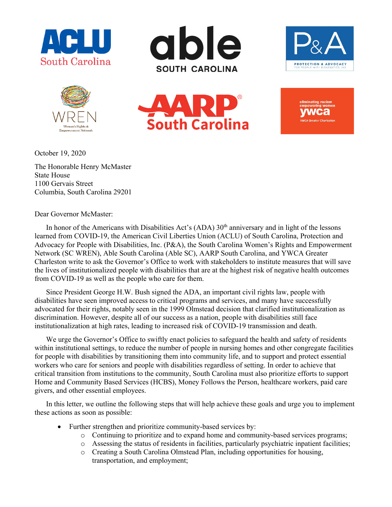











October 19, 2020

The Honorable Henry McMaster State House 1100 Gervais Street Columbia, South Carolina 29201

Dear Governor McMaster:

In honor of the Americans with Disabilities Act's (ADA)  $30<sup>th</sup>$  anniversary and in light of the lessons learned from COVID-19, the American Civil Liberties Union (ACLU) of South Carolina, Protection and Advocacy for People with Disabilities, Inc. (P&A), the South Carolina Women's Rights and Empowerment Network (SC WREN), Able South Carolina (Able SC), AARP South Carolina, and YWCA Greater Charleston write to ask the Governor's Office to work with stakeholders to institute measures that will save the lives of institutionalized people with disabilities that are at the highest risk of negative health outcomes from COVID-19 as well as the people who care for them.

Since President George H.W. Bush signed the ADA, an important civil rights law, people with disabilities have seen improved access to critical programs and services, and many have successfully advocated for their rights, notably seen in the 1999 Olmstead decision that clarified institutionalization as discrimination. However, despite all of our success as a nation, people with disabilities still face institutionalization at high rates, leading to increased risk of COVID-19 transmission and death.

We urge the Governor's Office to swiftly enact policies to safeguard the health and safety of residents within institutional settings, to reduce the number of people in nursing homes and other congregate facilities for people with disabilities by transitioning them into community life, and to support and protect essential workers who care for seniors and people with disabilities regardless of setting. In order to achieve that critical transition from institutions to the community, South Carolina must also prioritize efforts to support Home and Community Based Services (HCBS), Money Follows the Person, healthcare workers, paid care givers, and other essential employees.

In this letter, we outline the following steps that will help achieve these goals and urge you to implement these actions as soon as possible:

- Further strengthen and prioritize community-based services by:
	- o Continuing to prioritize and to expand home and community-based services programs;
	- o Assessing the status of residents in facilities, particularly psychiatric inpatient facilities;
	- o Creating a South Carolina Olmstead Plan, including opportunities for housing, transportation, and employment;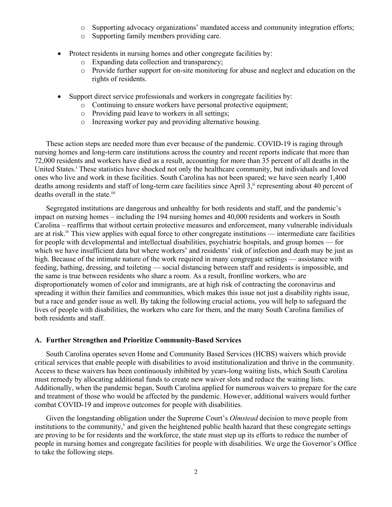- o Supporting advocacy organizations' mandated access and community integration efforts;
- o Supporting family members providing care.
- Protect residents in nursing homes and other congregate facilities by:
	- o Expanding data collection and transparency;
	- o Provide further support for on-site monitoring for abuse and neglect and education on the rights of residents.
- Support direct service professionals and workers in congregate facilities by:
	- o Continuing to ensure workers have personal protective equipment;
	- o Providing paid leave to workers in all settings;
	- o Increasing worker pay and providing alternative housing.

These action steps are needed more than ever because of the pandemic. COVID-19 is raging through nursing homes and long-term care institutions across the country and recent reports indicate that more than 72,000 residents and workers have died as a result, accounting for more than 35 percent of all deaths in the United States.<sup>i</sup> These statistics have shocked not only the healthcare community, but individuals and loved ones who live and work in these facilities. South Carolina has not been spared; we have seen nearly 1,400 deaths among residents and staff of long-term care facilities since April 3,<sup>ii</sup> representing about 40 percent of deaths overall in the state.<sup>iii</sup>

Segregated institutions are dangerous and unhealthy for both residents and staff, and the pandemic's impact on nursing homes – including the 194 nursing homes and 40,000 residents and workers in South Carolina – reaffirms that without certain protective measures and enforcement, many vulnerable individuals are at risk.<sup>iv</sup> This view applies with equal force to other congregate institutions — intermediate care facilities for people with developmental and intellectual disabilities, psychiatric hospitals, and group homes — for which we have insufficient data but where workers' and residents' risk of infection and death may be just as high. Because of the intimate nature of the work required in many congregate settings — assistance with feeding, bathing, dressing, and toileting — social distancing between staff and residents is impossible, and the same is true between residents who share a room. As a result, frontline workers, who are disproportionately women of color and immigrants, are at high risk of contracting the coronavirus and spreading it within their families and communities, which makes this issue not just a disability rights issue, but a race and gender issue as well. By taking the following crucial actions, you will help to safeguard the lives of people with disabilities, the workers who care for them, and the many South Carolina families of both residents and staff.

#### **A. Further Strengthen and Prioritize Community-Based Services**

South Carolina operates seven Home and Community Based Services (HCBS) waivers which provide critical services that enable people with disabilities to avoid institutionalization and thrive in the community. Access to these waivers has been continuously inhibited by years-long waiting lists, which South Carolina must remedy by allocating additional funds to create new waiver slots and reduce the waiting lists. Additionally, when the pandemic began, South Carolina applied for numerous waivers to prepare for the care and treatment of those who would be affected by the pandemic. However, additional waivers would further combat COVID-19 and improve outcomes for people with disabilities.

Given the longstanding obligation under the Supreme Court's *Olmstead* decision to move people from institutions to the community, $v$  and given the heightened public health hazard that these congregate settings are proving to be for residents and the workforce, the state must step up its efforts to reduce the number of people in nursing homes and congregate facilities for people with disabilities. We urge the Governor's Office to take the following steps.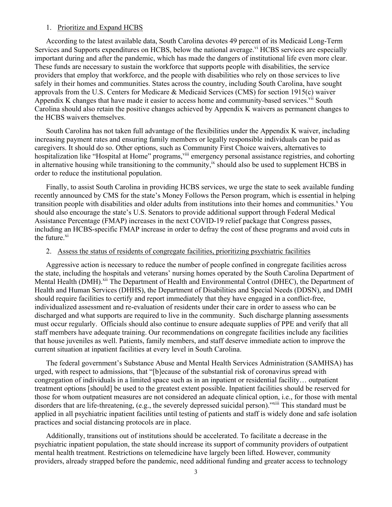#### 1. Prioritize and Expand HCBS

According to the latest available data, South Carolina devotes 49 percent of its Medicaid Long-Term Services and Supports expenditures on HCBS, below the national average.<sup>vi</sup> HCBS services are especially important during and after the pandemic, which has made the dangers of institutional life even more clear. These funds are necessary to sustain the workforce that supports people with disabilities, the service providers that employ that workforce, and the people with disabilities who rely on those services to live safely in their homes and communities. States across the country, including South Carolina, have sought approvals from the U.S. Centers for Medicare & Medicaid Services (CMS) for section 1915(c) waiver Appendix K changes that have made it easier to access home and community-based services.<sup>vii</sup> South Carolina should also retain the positive changes achieved by Appendix K waivers as permanent changes to the HCBS waivers themselves.

South Carolina has not taken full advantage of the flexibilities under the Appendix K waiver, including increasing payment rates and ensuring family members or legally responsible individuals can be paid as caregivers. It should do so. Other options, such as Community First Choice waivers, alternatives to hospitalization like "Hospital at Home" programs, vill emergency personal assistance registries, and cohorting in alternative housing while transitioning to the community,  $\dot{x}$  should also be used to supplement HCBS in order to reduce the institutional population.

Finally, to assist South Carolina in providing HCBS services, we urge the state to seek available funding recently announced by CMS for the state's Money Follows the Person program, which is essential in helping transition people with disabilities and older adults from institutions into their homes and communities.<sup>x</sup> You should also encourage the state's U.S. Senators to provide additional support through Federal Medical Assistance Percentage (FMAP) increases in the next COVID-19 relief package that Congress passes, including an HCBS-specific FMAP increase in order to defray the cost of these programs and avoid cuts in the future.<sup>xi</sup>

## 2. Assess the status of residents of congregate facilities, prioritizing psychiatric facilities

Aggressive action is necessary to reduce the number of people confined in congregate facilities across the state, including the hospitals and veterans' nursing homes operated by the South Carolina Department of Mental Health (DMH).<sup>xii</sup> The Department of Health and Environmental Control (DHEC), the Department of Health and Human Services (DHHS), the Department of Disabilities and Special Needs (DDSN), and DMH should require facilities to certify and report immediately that they have engaged in a conflict-free, individualized assessment and re-evaluation of residents under their care in order to assess who can be discharged and what supports are required to live in the community. Such discharge planning assessments must occur regularly. Officials should also continue to ensure adequate supplies of PPE and verify that all staff members have adequate training. Our recommendations on congregate facilities include any facilities that house juveniles as well. Patients, family members, and staff deserve immediate action to improve the current situation at inpatient facilities at every level in South Carolina.

The federal government's Substance Abuse and Mental Health Services Administration (SAMHSA) has urged, with respect to admissions, that "[b]ecause of the substantial risk of coronavirus spread with congregation of individuals in a limited space such as in an inpatient or residential facility… outpatient treatment options [should] be used to the greatest extent possible. Inpatient facilities should be reserved for those for whom outpatient measures are not considered an adequate clinical option, i.e., for those with mental disorders that are life-threatening, (e.g., the severely depressed suicidal person)."<sup>xiii</sup> This standard must be applied in all psychiatric inpatient facilities until testing of patients and staff is widely done and safe isolation practices and social distancing protocols are in place.

Additionally, transitions out of institutions should be accelerated. To facilitate a decrease in the psychiatric inpatient population, the state should increase its support of community providers of outpatient mental health treatment. Restrictions on telemedicine have largely been lifted. However, community providers, already strapped before the pandemic, need additional funding and greater access to technology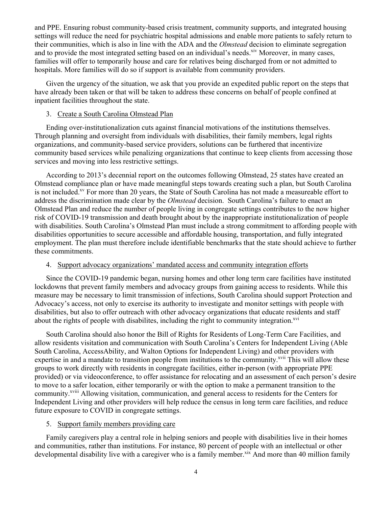and PPE. Ensuring robust community-based crisis treatment, community supports, and integrated housing settings will reduce the need for psychiatric hospital admissions and enable more patients to safely return to their communities, which is also in line with the ADA and the *Olmstead* decision to eliminate segregation and to provide the most integrated setting based on an individual's needs.<sup>xiv</sup> Moreover, in many cases, families will offer to temporarily house and care for relatives being discharged from or not admitted to hospitals. More families will do so if support is available from community providers.

Given the urgency of the situation, we ask that you provide an expedited public report on the steps that have already been taken or that will be taken to address these concerns on behalf of people confined at inpatient facilities throughout the state.

# 3. Create a South Carolina Olmstead Plan

Ending over-institutionalization cuts against financial motivations of the institutions themselves. Through planning and oversight from individuals with disabilities, their family members, legal rights organizations, and community-based service providers, solutions can be furthered that incentivize community based services while penalizing organizations that continue to keep clients from accessing those services and moving into less restrictive settings.

According to 2013's decennial report on the outcomes following Olmstead, 25 states have created an Olmstead compliance plan or have made meaningful steps towards creating such a plan, but South Carolina is not included.<sup>xv</sup> For more than 20 years, the State of South Carolina has not made a measureable effort to address the discrimination made clear by the *Olmstead* decision. South Carolina's failure to enact an Olmstead Plan and reduce the number of people living in congregate settings contributes to the now higher risk of COVID-19 transmission and death brought about by the inappropriate institutionalization of people with disabilities. South Carolina's Olmstead Plan must include a strong commitment to affording people with disabilities opportunities to secure accessible and affordable housing, transportation, and fully integrated employment. The plan must therefore include identifiable benchmarks that the state should achieve to further these commitments.

### 4. Support advocacy organizations' mandated access and community integration efforts

Since the COVID-19 pandemic began, nursing homes and other long term care facilities have instituted lockdowns that prevent family members and advocacy groups from gaining access to residents. While this measure may be necessary to limit transmission of infections, South Carolina should support Protection and Advocacy's access, not only to exercise its authority to investigate and monitor settings with people with disabilities, but also to offer outreach with other advocacy organizations that educate residents and staff about the rights of people with disabilites, including the right to community integration.<sup>xvi</sup>

South Carolina should also honor the Bill of Rights for Residents of Long-Term Care Facilities, and allow residents visitation and communication with South Carolina's Centers for Independent Living (Able South Carolina, AccessAbility, and Walton Options for Independent Living) and other providers with expertise in and a mandate to transition people from institutions to the community.<sup>xvii</sup> This will allow these groups to work directly with residents in congregate facilities, either in-person (with appropriate PPE provided) or via videoconference, to offer assistance for relocating and an assessment of each person's desire to move to a safer location, either temporarily or with the option to make a permanent transition to the community.<sup>xviii</sup> Allowing visitation, communication, and general access to residents for the Centers for Independent Living and other providers will help reduce the census in long term care facilities, and reduce future exposure to COVID in congregate settings.

# 5. Support family members providing care

Family caregivers play a central role in helping seniors and people with disabilities live in their homes and communities, rather than institutions. For instance, 80 percent of people with an intellectual or other developmental disability live with a caregiver who is a family member.<sup>xix</sup> And more than 40 million family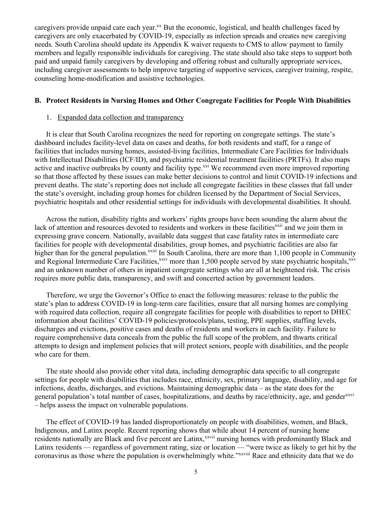caregivers provide unpaid care each year.<sup>xx</sup> But the economic, logistical, and health challenges faced by caregivers are only exacerbated by COVID-19, especially as infection spreads and creates new caregiving needs. South Carolina should update its Appendix K waiver requests to CMS to allow payment to family members and legally responsible individuals for caregiving. The state should also take steps to support both paid and unpaid family caregivers by developing and offering robust and culturally appropriate services, including caregiver assessments to help improve targeting of supportive services, caregiver training, respite, counseling home-modification and assistive technologies.

#### **B. Protect Residents in Nursing Homes and Other Congregate Facilities for People With Disabilities**

### 1. Expanded data collection and transparency

It is clear that South Carolina recognizes the need for reporting on congregate settings. The state's dashboard includes facility-level data on cases and deaths, for both residents and staff, for a range of facilities that includes nursing homes, assisted-living facilities, Intermediate Care Facilities for Individuals with Intellectual Disabilities (ICF/ID), and psychiatric residential treatment facilities (PRTFs). It also maps active and inactive outbreaks by county and facility type.<sup>xxi</sup> We recommend even more improved reporting so that those affected by these issues can make better decisions to control and limit COVID-19 infections and prevent deaths. The state's reporting does not include all congregate facilities in these classes that fall under the state's oversight, including group homes for children licensed by the Department of Social Services, psychiatric hospitals and other residential settings for individuals with developmental disabilities. It should.

Across the nation, disability rights and workers' rights groups have been sounding the alarm about the lack of attention and resources devoted to residents and workers in these facilities<sup>xxii</sup> and we join them in expressing grave concern. Nationally, available data suggest that case fatality rates in intermediate care facilities for people with developmental disabilities, group homes, and psychiatric facilities are also far higher than for the general population.<sup>xxiii</sup> In South Carolina, there are more than 1,100 people in Community and Regional Intermediate Care Facilities,<sup>xxiv</sup> more than 1,500 people served by state psychiatric hospitals,<sup>xxv</sup> and an unknown number of others in inpatient congregate settings who are all at heightened risk. The crisis requires more public data, transparency, and swift and concerted action by government leaders.

Therefore, we urge the Governor's Office to enact the following measures: release to the public the state's plan to address COVID-19 in long-term care facilities, ensure that all nursing homes are complying with required data collection, require all congregate facilities for people with disabilities to report to DHEC information about facilities' COVID-19 policies/protocols/plans, testing, PPE supplies, staffing levels, discharges and evictions, positive cases and deaths of residents and workers in each facility. Failure to require comprehensive data conceals from the public the full scope of the problem, and thwarts critical attempts to design and implement policies that will protect seniors, people with disabilities, and the people who care for them.

The state should also provide other vital data, including demographic data specific to all congregate settings for people with disabilities that includes race, ethnicity, sex, primary language, disability, and age for infections, deaths, discharges, and evictions. Maintaining demographic data – as the state does for the general population's total number of cases, hospitalizations, and deaths by race/ethnicity, age, and gender<sup>xxvi</sup> – helps assess the impact on vulnerable populations.

The effect of COVID-19 has landed disproportionately on people with disabilities, women, and Black, Indigenous, and Latinx people. Recent reporting shows that while about 14 percent of nursing home residents nationally are Black and five percent are Latinx,<sup>xxvii</sup> nursing homes with predominantly Black and Latinx residents — regardless of government rating, size or location — "were twice as likely to get hit by the coronavirus as those where the population is overwhelmingly white."xxviii Race and ethnicity data that we do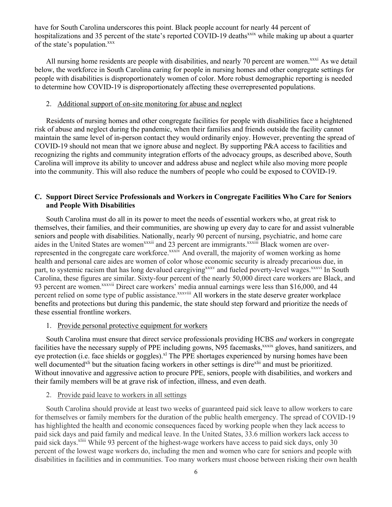have for South Carolina underscores this point. Black people account for nearly 44 percent of hospitalizations and 35 percent of the state's reported COVID-19 deaths<sup>xxix</sup> while making up about a quarter of the state's population.<sup>xxx</sup>

All nursing home residents are people with disabilities, and nearly 70 percent are women.<sup>xxxi</sup> As we detail below, the workforce in South Carolina caring for people in nursing homes and other congregate settings for people with disabilities is disproportionately women of color. More robust demographic reporting is needed to determine how COVID-19 is disproportionately affecting these overrepresented populations.

#### 2. Additional support of on-site monitoring for abuse and neglect

Residents of nursing homes and other congregate facilities for people with disabilities face a heightened risk of abuse and neglect during the pandemic, when their families and friends outside the facility cannot maintain the same level of in-person contact they would ordinarily enjoy. However, preventing the spread of COVID-19 should not mean that we ignore abuse and neglect. By supporting P&A access to facilities and recognizing the rights and community integration efforts of the advocacy groups, as described above, South Carolina will improve its ability to uncover and address abuse and neglect while also moving more people into the community. This will also reduce the numbers of people who could be exposed to COVID-19.

## **C. Support Direct Service Professionals and Workers in Congregate Facilities Who Care for Seniors and People With Disabilities**

South Carolina must do all in its power to meet the needs of essential workers who, at great risk to themselves, their families, and their communities, are showing up every day to care for and assist vulnerable seniors and people with disabilities. Nationally, nearly 90 percent of nursing, psychiatric, and home care aides in the United States are women<sup>xxxii</sup> and 23 percent are immigrants.<sup>xxxiii</sup> Black women are overrepresented in the congregate care workforce.<sup>xxxiv</sup> And overall, the majority of women working as home health and personal care aides are women of color whose economic security is already precarious due, in part, to systemic racism that has long devalued caregiving<sup>xxxv</sup> and fueled poverty-level wages.<sup>xxxvi</sup> In South Carolina, these figures are similar. Sixty-four percent of the nearly 50,000 direct care workers are Black, and 93 percent are women.<sup>xxxvii</sup> Direct care workers' media annual earnings were less than \$16,000, and 44 percent relied on some type of public assistance. $x^x$ <sup>xxxviii</sup> All workers in the state deserve greater workplace benefits and protections but during this pandemic, the state should step forward and prioritize the needs of these essential frontline workers.

#### 1. Provide personal protective equipment for workers

South Carolina must ensure that direct service professionals providing HCBS *and* workers in congregate facilities have the necessary supply of PPE including gowns, N95 facemasks,<sup>xxxix</sup> gloves, hand sanitizers, and eye protection (i.e. face shields or goggles).<sup>xl</sup> The PPE shortages experienced by nursing homes have been well documented<sup>xli</sup> but the situation facing workers in other settings is dire<sup>xlii</sup> and must be prioritized. Without innovative and aggressive action to procure PPE, seniors, people with disabilities, and workers and their family members will be at grave risk of infection, illness, and even death.

#### 2. Provide paid leave to workers in all settings

South Carolina should provide at least two weeks of guaranteed paid sick leave to allow workers to care for themselves or family members for the duration of the public health emergency. The spread of COVID-19 has highlighted the health and economic consequences faced by working people when they lack access to paid sick days and paid family and medical leave. In the United States, 33.6 million workers lack access to paid sick days.<sup>xliii</sup> While 93 percent of the highest-wage workers have access to paid sick days, only 30 percent of the lowest wage workers do, including the men and women who care for seniors and people with disabilities in facilities and in communities. Too many workers must choose between risking their own health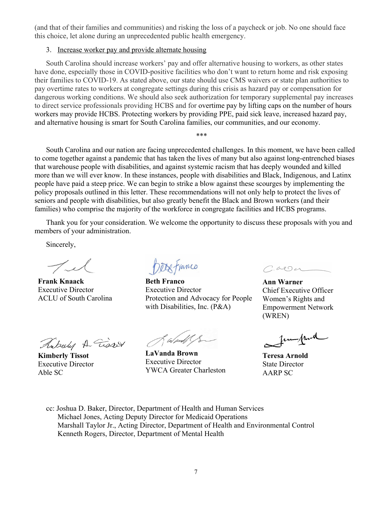(and that of their families and communities) and risking the loss of a paycheck or job. No one should face this choice, let alone during an unprecedented public health emergency.

### 3. Increase worker pay and provide alternate housing

South Carolina should increase workers' pay and offer alternative housing to workers, as other states have done, especially those in COVID-positive facilities who don't want to return home and risk exposing their families to COVID-19. As stated above, our state should use CMS waivers or state plan authorities to pay overtime rates to workers at congregate settings during this crisis as hazard pay or compensation for dangerous working conditions. We should also seek authorization for temporary supplemental pay increases to direct service professionals providing HCBS and for overtime pay by lifting caps on the number of hours workers may provide HCBS. Protecting workers by providing PPE, paid sick leave, increased hazard pay, and alternative housing is smart for South Carolina families, our communities, and our economy.

South Carolina and our nation are facing unprecedented challenges. In this moment, we have been called to come together against a pandemic that has taken the lives of many but also against long-entrenched biases that warehouse people with disabilities, and against systemic racism that has deeply wounded and killed more than we will ever know. In these instances, people with disabilities and Black, Indigenous, and Latinx people have paid a steep price. We can begin to strike a blow against these scourges by implementing the policy proposals outlined in this letter. These recommendations will not only help to protect the lives of seniors and people with disabilities, but also greatly benefit the Black and Brown workers (and their families) who comprise the majority of the workforce in congregate facilities and HCBS programs.

\*\*\*

Thank you for your consideration. We welcome the opportunity to discuss these proposals with you and members of your administration.

Sincerely,

 $\mathcal{T}_{\mathcal{A}}$ 

**Frank Knaack** Executive Director ACLU of South Carolina

Fuberly A Tisser

**Kimberly Tissot** Executive Director Able SC

**Detx** Franco

**Beth Franco**  Executive Director Protection and Advocacy for People with Disabilities, Inc. (P&A)

f a/and/

**LaVanda Brown** Executive Director YWCA Greater Charleston

 $CaO4$ 

**Ann Warner** Chief Executive Officer Women's Rights and Empowerment Network (WREN)

fun fluck

**Teresa Arnold** State Director AARP SC

cc: Joshua D. Baker, Director, Department of Health and Human Services Michael Jones, Acting Deputy Director for Medicaid Operations Marshall Taylor Jr., Acting Director, Department of Health and Environmental Control Kenneth Rogers, Director, Department of Mental Health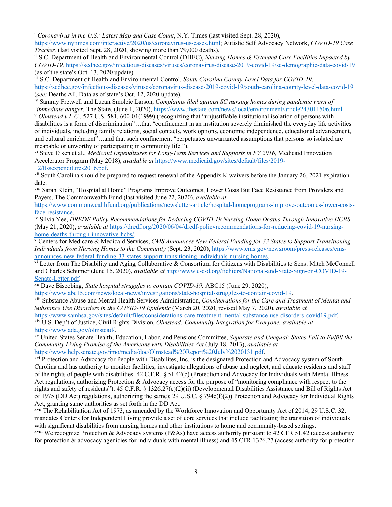<sup>i</sup> *Coronavirus in the U.S.: Latest Map and Case Count*, N.Y. Times (last visited Sept. 28, 2020),

https://www.nytimes.com/interactive/2020/us/coronavirus-us-cases.html; Autistic Self Advocacy Network, *COVID-19 Case Tracker, (last visited Sept. 28, 2020, showing more than 79,000 deaths).* ii S.C. Department of Health and Environmental Control (DHEC), *Nursing Homes & Extended Care Facilities Impacted by* 

*COVID-19,* https://scdhec.gov/infectious-diseases/viruses/coronavirus-disease-2019-covid-19/sc-demographic-data-covid-19 (as of the state's Oct. 13, 2020 update).

iii S.C. Department of Health and Environmental Control, *South Carolina County-Level Data for COVID-19,*  https://scdhec.gov/infectious-diseases/viruses/coronavirus-disease-2019-covid-19/south-carolina-county-level-data-covid-19 (*see:* Deaths|All. Data as of state's Oct. 12, 2020 update).

iv Sammy Fretwell and Lucan Smolcic Larson, *Complaints filed against SC nursing homes during pandemic warn of*  'immediate danger, The State, (June 1, 2020), https://www.thestate.com/news/local/environment/article243011506.html

<sup>v</sup> *Olmstead v L.C*., 527 U.S. 581, 600-01(1999) (recognizing that "unjustifiable institutional isolation of persons with disabilities is a form of discrimination"…that "confinement in an institution severely diminished the everyday life activities of individuals, including family relations, social contacts, work options, economic independence, educational advancement, and cultural enrichment"…and that such confinement "perpetuates unwarranted assumptions that persons so isolated are incapable or unworthy of participating in community life.").

v<sup>i</sup> Steve Eiken et al., *Medicaid Expenditures for Long-Term Services and Supports in FY 2016*, Medicaid Innovation Accelerator Program (May 2018), *available at* https://www.medicaid.gov/sites/default/files/2019- 12/ltssexpenditures2016.pdf.

vii South Carolina should be prepared to request renewal of the Appendix K waivers before the January 26, 2021 expiration date.

viii Sarah Klein, "Hospital at Home" Programs Improve Outcomes, Lower Costs But Face Resistance from Providers and Payers, The Commonwealth Fund (last visited June 22, 2020), *available at*

https://www.commonwealthfund.org/publications/newsletter-article/hospital-homeprograms-improve-outcomes-lower-costsface-resistance. ix Silvia Yee, *DREDF Policy Recommendations for Reducing COVID-19 Nursing Home Deaths Through Innovative HCBS* 

(May 21, 2020), *available at* https://dredf.org/2020/06/04/dredf-policyrecommendations-for-reducing-covid-19-nursinghome-deaths-through-innovative-hcbs/.<br><sup>x</sup> Centers for Medicare & Medicaid Services, *CMS Announces New Federal Funding for 33 States to Support Transitioning* 

*Individuals from Nursing Homes to the Community* (Sept. 23, 2020), https://www.cms.gov/newsroom/press-releases/cmsannounces-new-federal-funding-33-states-support-transitioning-individuals-nursing-homes.<br><sup>xi</sup> Letter from The Disability and Aging Collaborative & Consortium for Citizens with Disabilities to Sens. Mitch McConnell

and Charles Schumer (June 15, 2020), *available at* http://www.c-c-d.org/fichiers/National-and-State-Sign-on-COVID-19- Senate-Letter.pdf.

xii Dave Biscobing, *State hospital struggles to contain COVID-19,* ABC15 (June 29, 2020),

https://www.abc15.com/news/local-news/investigations/state-hospital-struggles-to-contain-covid-19.

xiii Substance Abuse and Mental Health Services Administration, *Considerations for the Care and Treatment of Mental and Substance Use Disorders in the COVID-19 Epidemic* (March 20, 2020, revised May 7, 2020), *available at*

https://www.samhsa.gov/sites/default/files/considerations-care-treatment-mental-substance-use-disorders-covid19.pdf.<br>xiv U.S. Dep't of Justice, Civil Rights Division, *Olmstead: Community Integration for Everyone*, *availa* https://www.ada.gov/olmstead/.

xv United States Senate Health, Education, Labor, and Pensions Committee, *Separate and Unequal: States Fail to Fulfill the Community Living Promise of the Americans with Disabilities Act* (July 18, 2013), *available at*  https://www.help.senate.gov/imo/media/doc/Olmstead%20Report%20July%2020131.pdf.

xvi Protection and Advocacy for People with Disabilites, Inc. is the designated Protection and Advocacy system of South Carolina and has authority to monitor facilities, investigate allegations of abuse and neglect, and educate residents and staff of the rights of people with disabilities. 42 C.F.R. § 51.42(c) (Protection and Advocacy for Individuals with Mental Illness Act regulations, authorizing Protection & Advocacy access for the purpose of "monitoring compliance with respect to the rights and safety of residents"); 45 C.F.R. § 1326.27(c)(2)(ii) (Developmental Disabilities Assistance and Bill of Rights Act of 1975 (DD Act) regulations, authorizing the same); 29 U.S.C. § 794e(f)(2)) Protection and Advocacy for Individual Rights Act, granting same authorities as set forth in the DD Act.

xvii The Rehabilitation Act of 1973, as amended by the Workforce Innovation and Opportunity Act of 2014, 29 U.S.C. 32, mandates Centers for Independent Living provide a set of core services that include facilitating the transition of individuals with significant disabilities from nursing homes and other institutions to home and community-based settings.

<sup>xviii</sup> We recognize Protection & Advocacy systems (P&As) have access authority pursuant to 42 CFR 51.42 (access authority for protection & advocacy agenicies for individuals with mental illness) and 45 CFR 1326.27 (access authority for protection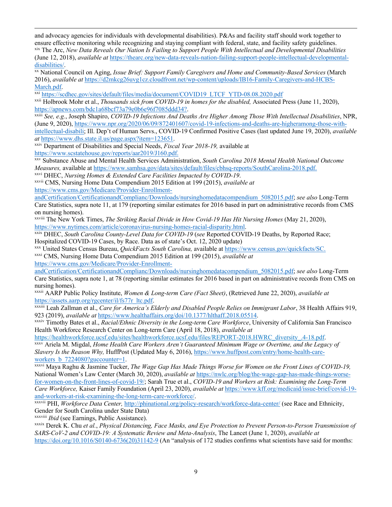and advocacy agencies for individuals with developmental disabilities). P&As and facility staff should work together to ensure effective monitoring while recognizing and staying compliant with federal, state, and facility safety guidelines. xix The Arc, *New Data Reveals Our Nation Is Failing to Support People With Intellectual and Developmental Disabilities* 

(June 12, 2018), *available at* https://thearc.org/new-data-reveals-nation-failing-support-people-intellectual-developmentaldisabilities/.

xx National Council on Aging, *Issue Brief: Support Family Caregivers and Home and Community-Based Services* (March 2016), *available at* https://d2mkcg26uvg1cz.cloudfront.net/wp-content/uploads/IB16-Family-Caregivers-and-HCBS-

March.pdf.<br>xxi https://scdhec.gov/sites/default/files/media/document/COVID19\_LTCF\_YTD-08.08.2020.pdf

xxii Holbrook Mohr et al., *Thousands sick from COVID-19 in homes for the disabled,* Associated Press (June 11, 2020), https://apnews.com/bdc1a68bcf73a79e0b6e96f7085ddd34?.

xxiii *See, e.g.*, Joseph Shapiro, *COVID-19 Infections And Deaths Are Higher Among Those With Intellectual Disabilities*, NPR, (June 9, 2020), https://www.npr.org/2020/06/09/872401607/covid-19-infections-and-deaths-are-higheramong-those-withintellectual-disabili; Ill. Dep't of Human Servs., COVID-19 Confirmed Positive Cases (last updated June 19, 2020), *available at* https://www.dhs.state.il.us/page.aspx?item=123651.

xxiv Department of Disabilities and Special Needs, *Fiscal Year 2018-19,* available at https://www.scstatehouse.gov/reports/aar2019/J160.pdf.

xxv Substance Abuse and Mental Health Services Administration, *South Carolina 2018 Mental Health National Outcome Measures,* available at https://www.samhsa.gov/data/sites/default/files/cbhsq-reports/SouthCarolina-2018.pdf.

xxvi DHEC, *Nursing Homes & Extended Care Facilities Impacted by COVID-19*.

xxvii CMS, Nursing Home Data Compendium 2015 Edition at 199 (2015), *available at* https://www.cms.gov/Medicare/Provider-Enrollment-

andCertification/CertificationandComplianc/Downloads/nursinghomedatacompendium\_5082015.pdf; *see also* Long-Term Care Statistics, supra note 11, at 179 (reporting similar estimates for 2016 based in part on administrative records from CMS on nursing homes).

xxviii The New York Times, *The Striking Racial Divide in How Covid-19 Has Hit Nursing Homes* (May 21, 2020), https://www.nytimes.com/article/coronavirus-nursing-homes-racial-disparity.html.

xxix DHEC, *South Carolina County-Level Data for COVID-19* (*see* Reported COVID-19 Deaths, by Reported Race; Hospitalized COVID-19 Cases, by Race. Data as of state's Oct. 12, 2020 update)

xxx United States Census Bureau, *QuickFacts South Carolina,* available at https://www.census.gov/quickfacts/SC. xxxi CMS, Nursing Home Data Compendium 2015 Edition at 199 (2015), *available at*

https://www.cms.gov/Medicare/Provider-Enrollment-

andCertification/CertificationandComplianc/Downloads/nursinghomedatacompendium\_5082015.pdf; *see also* Long-Term Care Statistics, supra note 1, at 78 (reporting similar estimates for 2016 based in part on administrative records from CMS on nursing homes).

xxxii AARP Public Policy Institute, *Women & Long-term Care (Fact Sheet)*, (Retrieved June 22, 2020), *available at* https://assets.aarp.org/rgcenter/il/fs77r\_ltc.pdf.

xxxiii Leah Zallman et al., *Care for America's Elderly and Disabled People Relies on Immigrant Labor*, 38 Health Affairs 919, 923 (2019), *available at* https://www.healthaffairs.org/doi/10.1377/hlthaff.2018.05514.

xxxiv Timothy Bates et al., *Racial/Ethnic Diversity in the Long-term Care Workforce*, University of California San Francisco Health Workforce Research Center on Long-term Care (April 18, 2018), *available at* 

https://healthworkforce.ucsf.edu/sites/healthworkforce.ucsf.edu/files/REPORT-2018.HWRC\_diversity\_.4-18.pdf.

xxxv Ariela M. Migdal, *Home Health Care Workers Aren't Guaranteed Minimum Wage or Overtime, and the Legacy of Slavery Is the Reason Why,* HuffPost (Updated May 6, 2016), https://www.huffpost.com/entry/home-health-careworkers\_b\_7224080?guccounter=1.

xxxvi Maya Raghu & Jasmine Tucker, *The Wage Gap Has Made Things Worse for Women on the Front Lines of COVID-19,*  National Women's Law Center (March 30, 2020), *available at* https://nwlc.org/blog/the-wage-gap-has-made-things-worsefor-women-on-the-front-lines-of-covid-19/; Sarah True et al., *COVID-19 and Workers at Risk: Examining the Long-Term Care Workforce,* Kaiser Family Foundation (April 23, 2020), *available at* https://www.kff.org/medicaid/issue-brief/covid-19 and-workers-at-risk-examining-the-long-term-care-workforce/.

xxxvii PHI, *Workforce Data Center,* http://phinational.org/policy-research/workforce-data-center/ (see Race and Ethnicity, Gender for South Carolina under State Data)

xxxviii *Ibid* (see Earnings, Public Assistance).

xxxix Derek K. Chu *et al.*, *Physical Distancing, Face Masks, and Eye Protection to Prevent Person-to-Person Transmission of SARS-CoV-2 and COVID-19: A Systematic Review and Meta-Analysis*, The Lancet (June 1, 2020), *available at* https://doi.org/10.1016/S0140-6736(20)31142-9 (An "analysis of 172 studies confirms what scientists have said for months: